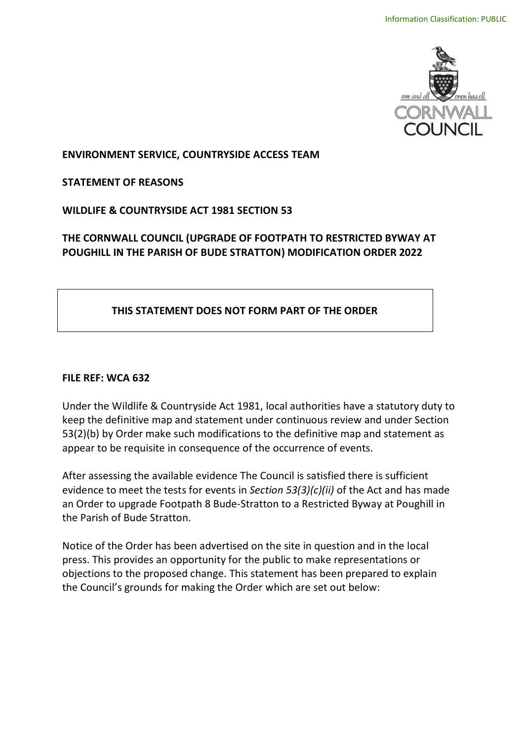

**ENVIRONMENT SERVICE, COUNTRYSIDE ACCESS TEAM** 

 **STATEMENT OF REASONS** 

 **WILDLIFE & COUNTRYSIDE ACT 1981 SECTION 53** 

# **THE CORNWALL COUNCIL (UPGRADE OF FOOTPATH TO RESTRICTED BYWAY AT POUGHILL IN THE PARISH OF BUDE STRATTON) MODIFICATION ORDER 2022**

# **THIS STATEMENT DOES NOT FORM PART OF THE ORDER**

#### **FILE REF: WCA 632**

 Under the Wildlife & Countryside Act 1981, local authorities have a statutory duty to keep the definitive map and statement under continuous review and under Section 53(2)(b) by Order make such modifications to the definitive map and statement as appear to be requisite in consequence of the occurrence of events.

 After assessing the available evidence The Council is satisfied there is sufficient evidence to meet the tests for events in *Section 53(3)(c)(ii)* of the Act and has made an Order to upgrade Footpath 8 Bude-Stratton to a Restricted Byway at Poughill in the Parish of Bude Stratton.

 Notice of the Order has been advertised on the site in question and in the local objections to the proposed change. This statement has been prepared to explain the Council's grounds for making the Order which are set out below: press. This provides an opportunity for the public to make representations or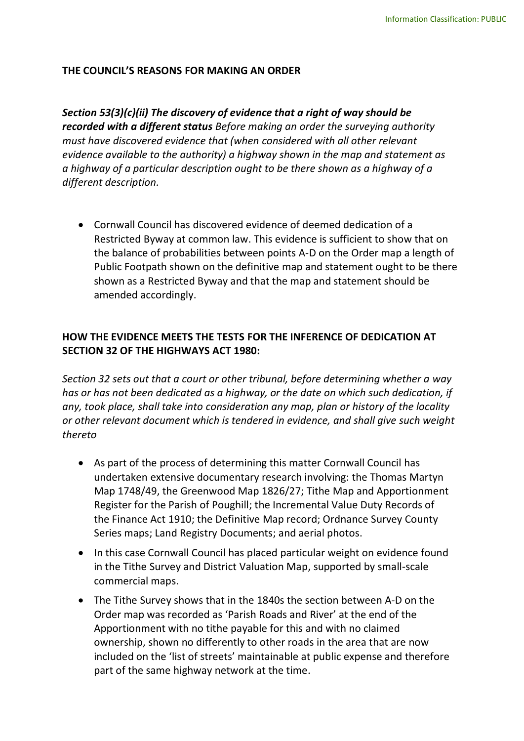#### **THE COUNCIL'S REASONS FOR MAKING AN ORDER**

 *Section 53(3)(c)(ii) The discovery of evidence that a right of way should be recorded with a different status Before making an order the surveying authority must have discovered evidence that (when considered with all other relevant evidence available to the authority) a highway shown in the map and statement as a highway of a particular description ought to be there shown as a highway of a different description.* 

 • Cornwall Council has discovered evidence of deemed dedication of a Restricted Byway at common law. This evidence is sufficient to show that on the balance of probabilities between points A-D on the Order map a length of Public Footpath shown on the definitive map and statement ought to be there shown as a Restricted Byway and that the map and statement should be amended accordingly.

## **HOW THE EVIDENCE MEETS THE TESTS FOR THE INFERENCE OF DEDICATION AT SECTION 32 OF THE HIGHWAYS ACT 1980:**

 *Section 32 sets out that a court or other tribunal, before determining whether a way has or has not been dedicated as a highway, or the date on which such dedication, if any, took place, shall take into consideration any map, plan or history of the locality or other relevant document which is tendered in evidence, and shall give such weight thereto* 

- • As part of the process of determining this matter Cornwall Council has undertaken extensive documentary research involving: the Thomas Martyn Map 1748/49, the Greenwood Map 1826/27; Tithe Map and Apportionment the Finance Act 1910; the Definitive Map record; Ordnance Survey County Register for the Parish of Poughill; the Incremental Value Duty Records of Series maps; Land Registry Documents; and aerial photos.
- • In this case Cornwall Council has placed particular weight on evidence found in the Tithe Survey and District Valuation Map, supported by small-scale commercial maps.
- Order map was recorded as 'Parish Roads and River' at the end of the Apportionment with no tithe payable for this and with no claimed ownership, shown no differently to other roads in the area that are now • The Tithe Survey shows that in the 1840s the section between A-D on the included on the 'list of streets' maintainable at public expense and therefore part of the same highway network at the time.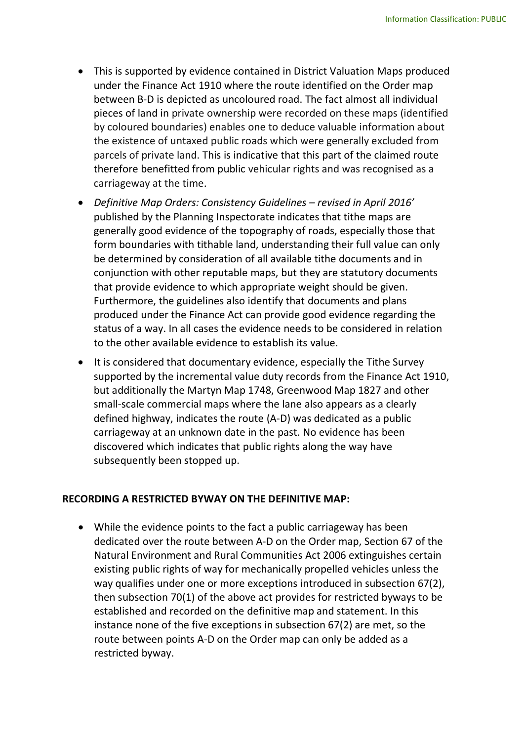- • This is supported by evidence contained in District Valuation Maps produced under the Finance Act 1910 where the route identified on the Order map between B-D is depicted as uncoloured road. The fact almost all individual pieces of land in private ownership were recorded on these maps (identified by coloured boundaries) enables one to deduce valuable information about the existence of untaxed public roads which were generally excluded from therefore benefitted from public vehicular rights and was recognised as a parcels of private land. This is indicative that this part of the claimed route carriageway at the time.
- **•** Definitive Map Orders: Consistency Guidelines revised in April 2016' published by the Planning Inspectorate indicates that tithe maps are generally good evidence of the topography of roads, especially those that form boundaries with tithable land, understanding their full value can only be determined by consideration of all available tithe documents and in conjunction with other reputable maps, but they are statutory documents that provide evidence to which appropriate weight should be given. Furthermore, the guidelines also identify that documents and plans produced under the Finance Act can provide good evidence regarding the status of a way. In all cases the evidence needs to be considered in relation to the other available evidence to establish its value.
- • It is considered that documentary evidence, especially the Tithe Survey supported by the incremental value duty records from the Finance Act 1910, but additionally the Martyn Map 1748, Greenwood Map 1827 and other carriageway at an unknown date in the past. No evidence has been discovered which indicates that public rights along the way have small-scale commercial maps where the lane also appears as a clearly defined highway, indicates the route (A-D) was dedicated as a public subsequently been stopped up.

### **RECORDING A RESTRICTED BYWAY ON THE DEFINITIVE MAP:**

 • While the evidence points to the fact a public carriageway has been dedicated over the route between A-D on the Order map, Section 67 of the Natural Environment and Rural Communities Act 2006 extinguishes certain existing public rights of way for mechanically propelled vehicles unless the way qualifies under one or more exceptions introduced in subsection 67(2), then subsection 70(1) of the above act provides for restricted byways to be established and recorded on the definitive map and statement. In this instance none of the five exceptions in subsection 67(2) are met, so the route between points A-D on the Order map can only be added as a restricted byway.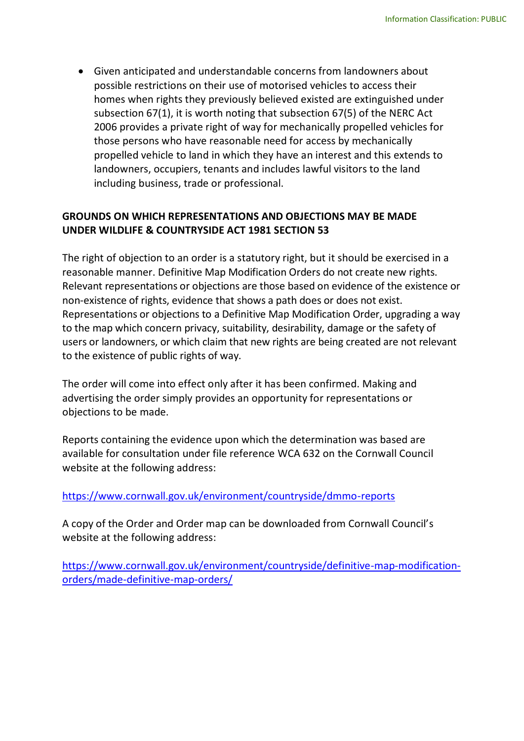• Given anticipated and understandable concerns from landowners about possible restrictions on their use of motorised vehicles to access their homes when rights they previously believed existed are extinguished under subsection 67(1), it is worth noting that subsection 67(5) of the NERC Act 2006 provides a private right of way for mechanically propelled vehicles for those persons who have reasonable need for access by mechanically propelled vehicle to land in which they have an interest and this extends to landowners, occupiers, tenants and includes lawful visitors to the land including business, trade or professional.

# **GROUNDS ON WHICH REPRESENTATIONS AND OBJECTIONS MAY BE MADE UNDER WILDLIFE & COUNTRYSIDE ACT 1981 SECTION 53**

 The right of objection to an order is a statutory right, but it should be exercised in a reasonable manner. Definitive Map Modification Orders do not create new rights. Relevant representations or objections are those based on evidence of the existence or non-existence of rights, evidence that shows a path does or does not exist. to the map which concern privacy, suitability, desirability, damage or the safety of users or landowners, or which claim that new rights are being created are not relevant Representations or objections to a Definitive Map Modification Order, upgrading a way to the existence of public rights of way.

 The order will come into effect only after it has been confirmed. Making and advertising the order simply provides an opportunity for representations or objections to be made.

 Reports containing the evidence upon which the determination was based are available for consultation under file reference WCA 632 on the Cornwall Council website at the following address:

<https://www.cornwall.gov.uk/environment/countryside/dmmo-reports>

 A copy of the Order and Order map can be downloaded from Cornwall Council's website at the following address:

[https://www.cornwall.gov.uk/environment/countryside/definitive-map-modification](https://www.cornwall.gov.uk/environment/countryside/definitive-map-modification-orders/made-definitive-map-orders/)orders/made-definitive-map-orders/